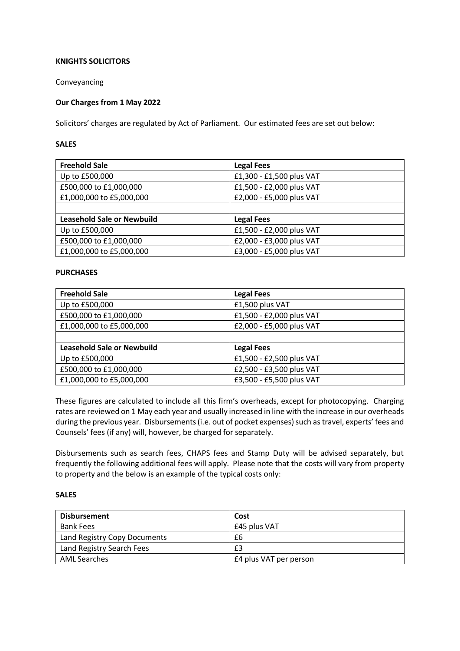## **KNIGHTS SOLICITORS**

Conveyancing

## **Our Charges from 1 May 2022**

Solicitors' charges are regulated by Act of Parliament. Our estimated fees are set out below:

#### **SALES**

| <b>Freehold Sale</b>              | <b>Legal Fees</b>        |
|-----------------------------------|--------------------------|
| Up to £500,000                    | £1,300 - £1,500 plus VAT |
| £500,000 to £1,000,000            | £1,500 - £2,000 plus VAT |
| £1,000,000 to £5,000,000          | £2,000 - £5,000 plus VAT |
|                                   |                          |
| <b>Leasehold Sale or Newbuild</b> | <b>Legal Fees</b>        |
| Up to £500,000                    | £1,500 - £2,000 plus VAT |
| £500,000 to £1,000,000            | £2,000 - £3,000 plus VAT |
| £1,000,000 to £5,000,000          | £3,000 - £5,000 plus VAT |

#### **PURCHASES**

| <b>Freehold Sale</b>              | <b>Legal Fees</b>        |
|-----------------------------------|--------------------------|
| Up to £500,000                    | £1,500 plus VAT          |
| £500,000 to £1,000,000            | £1,500 - £2,000 plus VAT |
| £1,000,000 to £5,000,000          | £2,000 - £5,000 plus VAT |
|                                   |                          |
| <b>Leasehold Sale or Newbuild</b> | <b>Legal Fees</b>        |
| Up to £500,000                    | £1,500 - £2,500 plus VAT |
| £500,000 to £1,000,000            | £2,500 - £3,500 plus VAT |
| £1,000,000 to £5,000,000          | £3,500 - £5,500 plus VAT |

These figures are calculated to include all this firm's overheads, except for photocopying. Charging rates are reviewed on 1 May each year and usually increased in line with the increase in our overheads during the previous year. Disbursements (i.e. out of pocket expenses) such as travel, experts' fees and Counsels' fees (if any) will, however, be charged for separately.

Disbursements such as search fees, CHAPS fees and Stamp Duty will be advised separately, but frequently the following additional fees will apply. Please note that the costs will vary from property to property and the below is an example of the typical costs only:

## **SALES**

| <b>Disbursement</b>          | Cost                   |
|------------------------------|------------------------|
| <b>Bank Fees</b>             | £45 plus VAT           |
| Land Registry Copy Documents | £6                     |
| Land Registry Search Fees    | £3                     |
| AML Searches                 | £4 plus VAT per person |